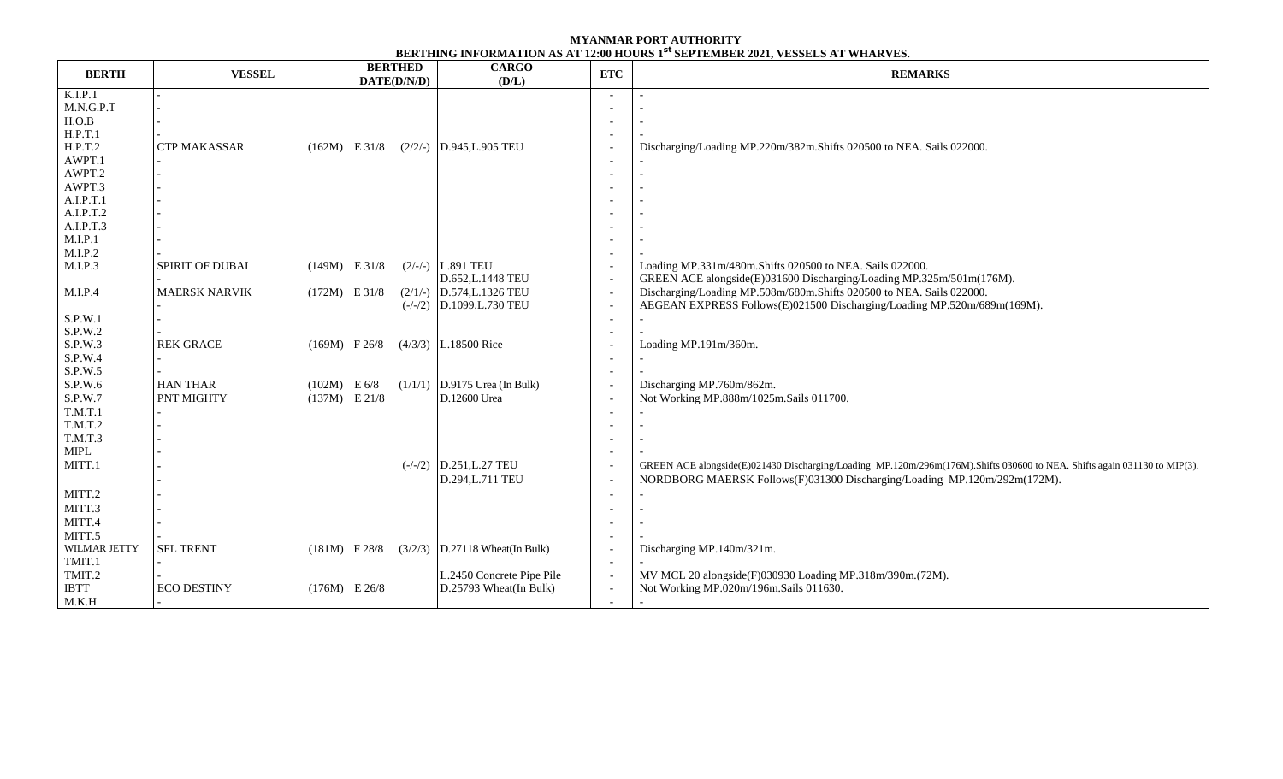| <b>BERTH</b> | <b>VESSEL</b>          |                  | <b>BERTHED</b><br>DATE(D/N/D) | <b>CARGO</b><br>(D/L)            | <b>ETC</b>               | <b>REMARKS</b>                                                                                                           |  |  |
|--------------|------------------------|------------------|-------------------------------|----------------------------------|--------------------------|--------------------------------------------------------------------------------------------------------------------------|--|--|
| K.I.P.T      |                        |                  |                               |                                  |                          |                                                                                                                          |  |  |
| M.N.G.P.T    |                        |                  |                               |                                  |                          |                                                                                                                          |  |  |
| H.O.B        |                        |                  |                               |                                  |                          |                                                                                                                          |  |  |
| H.P.T.1      |                        |                  |                               |                                  |                          |                                                                                                                          |  |  |
| H.P.T.2      | <b>CTP MAKASSAR</b>    | $(162M)$ E 31/8  |                               | $(2/2/-)$ D.945, L.905 TEU       |                          | Discharging/Loading MP.220m/382m.Shifts 020500 to NEA. Sails 022000.                                                     |  |  |
| AWPT.1       |                        |                  |                               |                                  |                          |                                                                                                                          |  |  |
| AWPT.2       |                        |                  |                               |                                  |                          |                                                                                                                          |  |  |
| AWPT.3       |                        |                  |                               |                                  |                          |                                                                                                                          |  |  |
| A.I.P.T.1    |                        |                  |                               |                                  |                          |                                                                                                                          |  |  |
| A.I.P.T.2    |                        |                  |                               |                                  |                          |                                                                                                                          |  |  |
| A.I.P.T.3    |                        |                  |                               |                                  |                          |                                                                                                                          |  |  |
| M.I.P.1      |                        |                  |                               |                                  |                          |                                                                                                                          |  |  |
| M.I.P.2      |                        |                  |                               |                                  |                          |                                                                                                                          |  |  |
| M.I.P.3      | <b>SPIRIT OF DUBAI</b> | $(149M)$ E 31/8  |                               | $(2/-/-)$ L.891 TEU              |                          | Loading MP.331m/480m.Shifts 020500 to NEA. Sails 022000.                                                                 |  |  |
|              |                        |                  |                               | D.652, L.1448 TEU                | $\overline{\phantom{a}}$ | GREEN ACE alongside(E)031600 Discharging/Loading MP.325m/501m(176M).                                                     |  |  |
| M.I.P.4      | <b>MAERSK NARVIK</b>   | $(172M)$ E 31/8  |                               | $(2/1/-)$ D.574, L.1326 TEU      | $\overline{\phantom{a}}$ | Discharging/Loading MP.508m/680m.Shifts 020500 to NEA. Sails 022000.                                                     |  |  |
|              |                        |                  |                               | $(-/-/2)$ D.1099, L.730 TEU      |                          | AEGEAN EXPRESS Follows(E)021500 Discharging/Loading MP.520m/689m(169M).                                                  |  |  |
| S.P.W.1      |                        |                  |                               |                                  |                          |                                                                                                                          |  |  |
| S.P.W.2      |                        |                  |                               |                                  |                          |                                                                                                                          |  |  |
| S.P.W.3      | <b>REK GRACE</b>       | $(169M)$ F 26/8  |                               | $(4/3/3)$ L.18500 Rice           |                          | Loading MP.191m/360m.                                                                                                    |  |  |
| S.P.W.4      |                        |                  |                               |                                  |                          |                                                                                                                          |  |  |
| S.P.W.5      |                        |                  |                               |                                  |                          |                                                                                                                          |  |  |
| S.P.W.6      | <b>HAN THAR</b>        | $(102M)$ E 6/8   |                               | $(1/1/1)$ D.9175 Urea (In Bulk)  |                          | Discharging MP.760m/862m.                                                                                                |  |  |
| S.P.W.7      | <b>PNT MIGHTY</b>      | $(137M)$ E 21/8  |                               | D.12600 Urea                     |                          | Not Working MP.888m/1025m.Sails 011700.                                                                                  |  |  |
| T.M.T.1      |                        |                  |                               |                                  |                          |                                                                                                                          |  |  |
| T.M.T.2      |                        |                  |                               |                                  |                          |                                                                                                                          |  |  |
| T.M.T.3      |                        |                  |                               |                                  |                          |                                                                                                                          |  |  |
| <b>MIPL</b>  |                        |                  |                               |                                  |                          |                                                                                                                          |  |  |
| MITT.1       |                        |                  |                               | $(-/-/2)$ D.251, L.27 TEU        |                          | GREEN ACE alongside(E)021430 Discharging/Loading MP.120m/296m(176M).Shifts 030600 to NEA. Shifts again 031130 to MIP(3). |  |  |
|              |                        |                  |                               | D.294, L.711 TEU                 |                          | NORDBORG MAERSK Follows(F)031300 Discharging/Loading MP.120m/292m(172M).                                                 |  |  |
| MITT.2       |                        |                  |                               |                                  |                          |                                                                                                                          |  |  |
| MITT.3       |                        |                  |                               |                                  |                          |                                                                                                                          |  |  |
| MITT.4       |                        |                  |                               |                                  |                          |                                                                                                                          |  |  |
| MITT.5       |                        |                  |                               |                                  |                          |                                                                                                                          |  |  |
| WILMAR JETTY | <b>SFL TRENT</b>       | $(181M)$  F 28/8 |                               | $(3/2/3)$ D.27118 Wheat(In Bulk) |                          | Discharging MP.140m/321m.                                                                                                |  |  |
| TMIT.1       |                        |                  |                               |                                  |                          |                                                                                                                          |  |  |
| TMIT.2       |                        |                  |                               | L.2450 Concrete Pipe Pile        |                          | MV MCL 20 alongside(F)030930 Loading MP.318m/390m.(72M).                                                                 |  |  |
| <b>IBTT</b>  | <b>ECO DESTINY</b>     | $(176M)$ E 26/8  |                               | D.25793 Wheat(In Bulk)           | $\overline{\phantom{a}}$ | Not Working MP.020m/196m.Sails 011630.                                                                                   |  |  |
| M.K.H        |                        |                  |                               |                                  |                          |                                                                                                                          |  |  |

## **MYANMAR PORT AUTHORITY BERTHING INFORMATION AS AT 12:00 HOURS 1 st SEPTEMBER 2021, VESSELS AT WHARVES.**